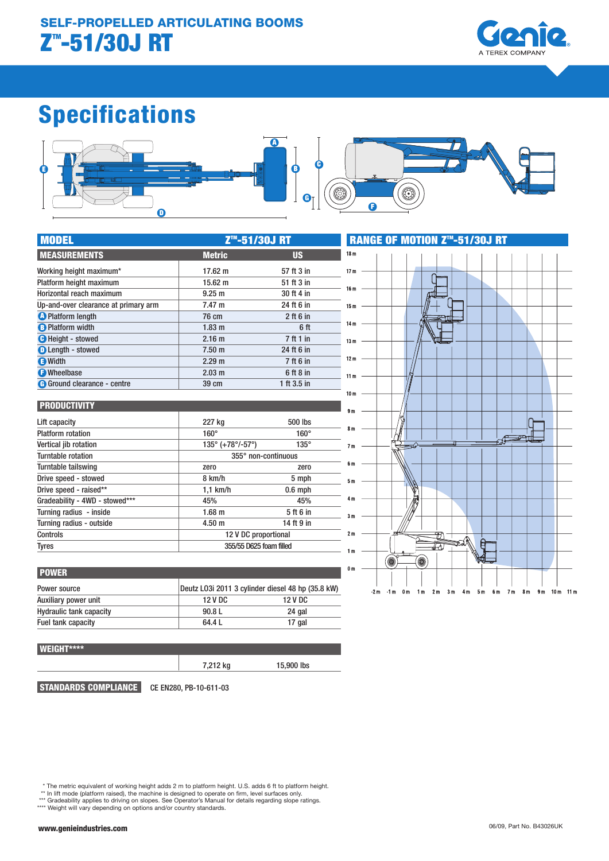

Specifications



 $18<sub>m</sub>$  $17<sub>m</sub>$ 

| <b>MODEL</b>                         | Z <sup>™</sup> -51/30J RT |             |  |
|--------------------------------------|---------------------------|-------------|--|
| <b>MEASUREMENTS</b>                  | <b>Metric</b>             | <b>US</b>   |  |
| Working height maximum*              | $17.62 \text{ m}$         | 57 ft 3 in  |  |
| Platform height maximum              | $15.62 \text{ m}$         | 51 ft 3 in  |  |
| Horizontal reach maximum             | 9.25 <sub>m</sub>         | 30 ft 4 in  |  |
| Up-and-over clearance at primary arm | $7.47 \text{ m}$          | 24 ft 6 in  |  |
| <b>O</b> Platform length             | 76 cm                     | $2$ ft 6 in |  |
| <b>B</b> Platform width              | 1.83 <sub>m</sub>         | 6 ft        |  |
| <b>O</b> Height - stowed             | 2.16 <sub>m</sub>         | 7ft1in      |  |
| <b>O</b> Length - stowed             | 7.50 <sub>m</sub>         | 24 ft 6 in  |  |
| <b>a</b> Width                       | 2.29 <sub>m</sub>         | 7 ft 6 in   |  |
| <b>O</b> Wheelbase                   | 2.03 <sub>m</sub>         | 6 ft 8 in   |  |
| <b>G</b> Ground clearance - centre   | 39 cm                     | 1 ft 3.5 in |  |

| <b>PRODUCTIVITY</b>            |                                                 |             |  |
|--------------------------------|-------------------------------------------------|-------------|--|
| Lift capacity                  | 227 kg                                          | 500 lbs     |  |
| <b>Platform rotation</b>       | $160^\circ$                                     | $160^\circ$ |  |
| Vertical jib rotation          | $135^{\circ}$ (+78 $^{\circ}$ /-57 $^{\circ}$ ) | $135^\circ$ |  |
| Turntable rotation             | 355° non-continuous                             |             |  |
| Turntable tailswing            | zero                                            | zero        |  |
| Drive speed - stowed           | 8 km/h                                          | 5 mph       |  |
| Drive speed - raised**         | 1,1 km/h                                        | $0.6$ mph   |  |
| Gradeability - 4WD - stowed*** | 45%                                             | 45%         |  |
| Turning radius - inside        | 1.68 <sub>m</sub>                               | 5 ft 6 in   |  |
| Turning radius - outside       | 4.50 <sub>m</sub>                               | 14 ft 9 in  |  |
| Controls                       | 12 V DC proportional                            |             |  |
| <b>Tyres</b>                   | 355/55 D625 foam filled                         |             |  |



RANGE OF MOTION Z<sup>™</sup>-51/30J RT

| <b>POWER</b>                                      |         |  |  |  |  |
|---------------------------------------------------|---------|--|--|--|--|
| Deutz L03i 2011 3 cylinder diesel 48 hp (35.8 kW) |         |  |  |  |  |
| <b>12 V DC</b>                                    | 12 V DC |  |  |  |  |
| 90.8L                                             | 24 gal  |  |  |  |  |
| 64.4 L                                            | 17 gal  |  |  |  |  |
|                                                   |         |  |  |  |  |

## WEIGHT\*\*\*\*

7,212 kg 15,900 lbs

Standards Compliance CE EN280, PB-10-611-03

\* The metric equivalent of working height adds 2 m to platform height. U.S. adds 6 ft to platform height.

\*\* In lift mode (platform raised), the machine is designed to operate on firm, level surfaces only. \*\*\* Gradeability applies to driving on slopes. See Operator's Manual for details regarding slope ratings.

\*\*\*\* Weight will vary depending on options and/or country standards.